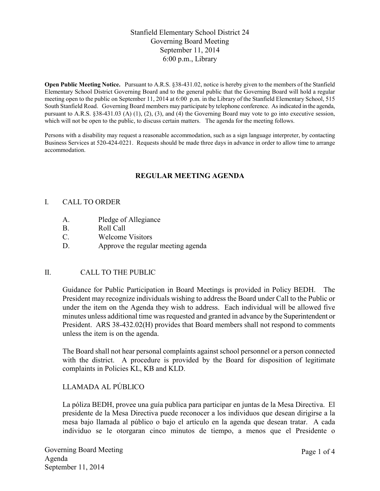## Stanfield Elementary School District 24 Governing Board Meeting September 11, 2014 6:00 p.m., Library

**Open Public Meeting Notice.** Pursuant to A.R.S. §38-431.02, notice is hereby given to the members of the Stanfield Elementary School District Governing Board and to the general public that the Governing Board will hold a regular meeting open to the public on September 11, 2014 at 6:00 p.m. in the Library of the Stanfield Elementary School, 515 South Stanfield Road. Governing Board members may participate by telephone conference. As indicated in the agenda, pursuant to A.R.S. §38-431.03 (A) (1), (2), (3), and (4) the Governing Board may vote to go into executive session, which will not be open to the public, to discuss certain matters. The agenda for the meeting follows.

Persons with a disability may request a reasonable accommodation, such as a sign language interpreter, by contacting Business Services at 520-424-0221. Requests should be made three days in advance in order to allow time to arrange accommodation.

# **REGULAR MEETING AGENDA**

#### I. CALL TO ORDER

- A. Pledge of Allegiance
- B. Roll Call
- C. Welcome Visitors
- D. Approve the regular meeting agenda

## II. CALL TO THE PUBLIC

Guidance for Public Participation in Board Meetings is provided in Policy BEDH. The President may recognize individuals wishing to address the Board under Call to the Public or under the item on the Agenda they wish to address. Each individual will be allowed five minutes unless additional time was requested and granted in advance by the Superintendent or President. ARS 38-432.02(H) provides that Board members shall not respond to comments unless the item is on the agenda.

The Board shall not hear personal complaints against school personnel or a person connected with the district. A procedure is provided by the Board for disposition of legitimate complaints in Policies KL, KB and KLD.

## LLAMADA AL PÚBLICO

La póliza BEDH, provee una guía publica para participar en juntas de la Mesa Directiva. El presidente de la Mesa Directiva puede reconocer a los individuos que desean dirigirse a la mesa bajo llamada al público o bajo el artículo en la agenda que desean tratar. A cada individuo se le otorgaran cinco minutos de tiempo, a menos que el Presidente o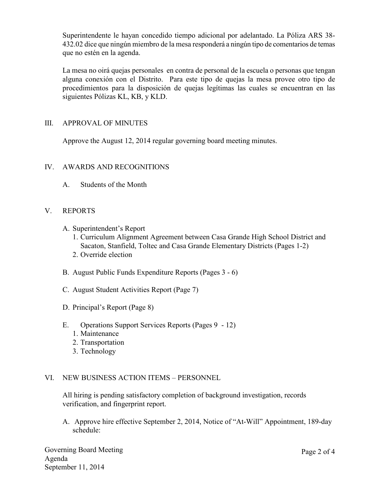Superintendente le hayan concedido tiempo adicional por adelantado. La Póliza ARS 38- 432.02 dice que ningún miembro de la mesa responderá a ningún tipo de comentarios de temas que no estén en la agenda.

La mesa no oirá quejas personales en contra de personal de la escuela o personas que tengan alguna conexión con el Distrito. Para este tipo de quejas la mesa provee otro tipo de procedimientos para la disposición de quejas legítimas las cuales se encuentran en las siguientes Pólizas KL, KB, y KLD.

## III. APPROVAL OF MINUTES

Approve the August 12, 2014 regular governing board meeting minutes.

## IV. AWARDS AND RECOGNITIONS

A. Students of the Month

## V. REPORTS

- A. Superintendent's Report
	- 1. Curriculum Alignment Agreement between Casa Grande High School District and Sacaton, Stanfield, Toltec and Casa Grande Elementary Districts (Pages 1-2)
	- 2. Override election
- B. August Public Funds Expenditure Reports (Pages 3 6)
- C. August Student Activities Report (Page 7)
- D. Principal's Report (Page 8)
- E. Operations Support Services Reports (Pages 9 12)
	- 1. Maintenance
	- 2. Transportation
	- 3. Technology

#### VI. NEW BUSINESS ACTION ITEMS – PERSONNEL

All hiring is pending satisfactory completion of background investigation, records verification, and fingerprint report.

A. Approve hire effective September 2, 2014, Notice of "At-Will" Appointment, 189-day schedule:

Governing Board Meeting Agenda September 11, 2014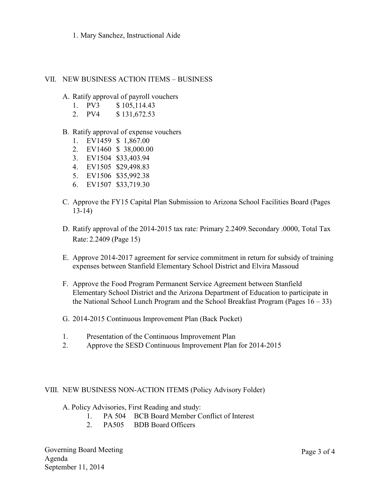1. Mary Sanchez, Instructional Aide

#### VII. NEW BUSINESS ACTION ITEMS – BUSINESS

- A. Ratify approval of payroll vouchers
	- 1. PV3 \$ 105,114.43
	- 2. PV4 \$ 131,672.53
- B. Ratify approval of expense vouchers
	- 1. EV1459 \$ 1,867.00
	- 2. EV1460 \$ 38,000.00
	- 3. EV1504 \$33,403.94
	- 4. EV1505 \$29,498.83
	- 5. EV1506 \$35,992.38
	- 6. EV1507 \$33,719.30
- C. Approve the FY15 Capital Plan Submission to Arizona School Facilities Board (Pages 13-14)
- D. Ratify approval of the 2014-2015 tax rate: Primary 2.2409, Secondary .0000, Total Tax Rate: 2.2409 (Page 15)
- E. Approve 2014-2017 agreement for service commitment in return for subsidy of training expenses between Stanfield Elementary School District and Elvira Massoud
- F. Approve the Food Program Permanent Service Agreement between Stanfield Elementary School District and the Arizona Department of Education to participate in the National School Lunch Program and the School Breakfast Program (Pages  $16 - 33$ )
- G. 2014-2015 Continuous Improvement Plan (Back Pocket)
- 1. Presentation of the Continuous Improvement Plan
- 2. Approve the SESD Continuous Improvement Plan for 2014-2015

#### VIII. NEW BUSINESS NON-ACTION ITEMS (Policy Advisory Folder)

- A. Policy Advisories, First Reading and study:
	- 1. PA 504 BCB Board Member Conflict of Interest
	- 2. PA505 BDB Board Officers

Governing Board Meeting Agenda September 11, 2014